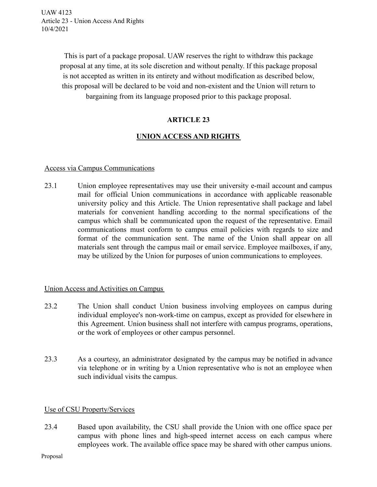> This is part of a package proposal. UAW reserves the right to withdraw this package proposal at any time, at its sole discretion and without penalty. If this package proposal is not accepted as written in its entirety and without modification as described below, this proposal will be declared to be void and non-existent and the Union will return to bargaining from its language proposed prior to this package proposal.

# **ARTICLE 23**

# **UNION ACCESS AND RIGHTS**

#### Access via Campus Communications

23.1 Union employee representatives may use their university e-mail account and campus mail for official Union communications in accordance with applicable reasonable university policy and this Article. The Union representative shall package and label materials for convenient handling according to the normal specifications of the campus which shall be communicated upon the request of the representative. Email communications must conform to campus email policies with regards to size and format of the communication sent. The name of the Union shall appear on all materials sent through the campus mail or email service. Employee mailboxes, if any, may be utilized by the Union for purposes of union communications to employees.

#### Union Access and Activities on Campus

- 23.2 The Union shall conduct Union business involving employees on campus during individual employee's non-work-time on campus, except as provided for elsewhere in this Agreement. Union business shall not interfere with campus programs, operations, or the work of employees or other campus personnel.
- 23.3 As a courtesy, an administrator designated by the campus may be notified in advance via telephone or in writing by a Union representative who is not an employee when such individual visits the campus.

## Use of CSU Property/Services

23.4 Based upon availability, the CSU shall provide the Union with one office space per campus with phone lines and high-speed internet access on each campus where employees work. The available office space may be shared with other campus unions.

Proposal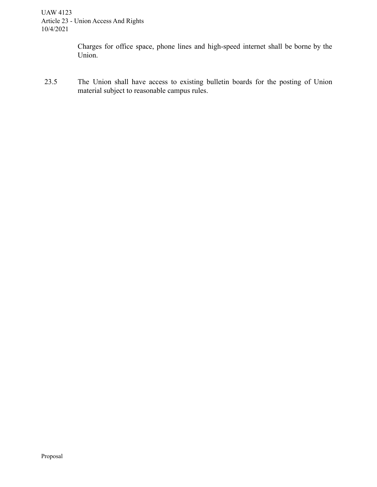Charges for office space, phone lines and high-speed internet shall be borne by the Union.

23.5 The Union shall have access to existing bulletin boards for the posting of Union material subject to reasonable campus rules.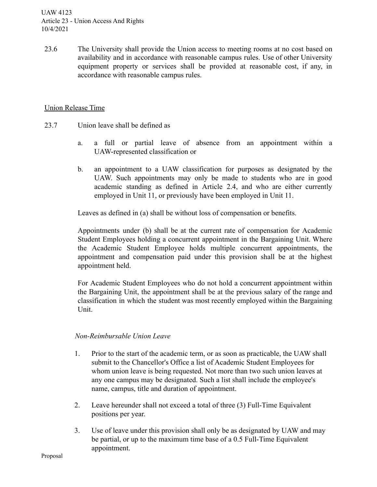23.6 The University shall provide the Union access to meeting rooms at no cost based on availability and in accordance with reasonable campus rules. Use of other University equipment property or services shall be provided at reasonable cost, if any, in accordance with reasonable campus rules.

### Union Release Time

- 23.7 Union leave shall be defined as
	- a. a full or partial leave of absence from an appointment within a UAW-represented classification or
	- b. an appointment to a UAW classification for purposes as designated by the UAW. Such appointments may only be made to students who are in good academic standing as defined in Article 2.4, and who are either currently employed in Unit 11, or previously have been employed in Unit 11.

Leaves as defined in (a) shall be without loss of compensation or benefits.

Appointments under (b) shall be at the current rate of compensation for Academic Student Employees holding a concurrent appointment in the Bargaining Unit. Where the Academic Student Employee holds multiple concurrent appointments, the appointment and compensation paid under this provision shall be at the highest appointment held.

For Academic Student Employees who do not hold a concurrent appointment within the Bargaining Unit, the appointment shall be at the previous salary of the range and classification in which the student was most recently employed within the Bargaining Unit.

#### *Non-Reimbursable Union Leave*

- 1. Prior to the start of the academic term, or as soon as practicable, the UAW shall submit to the Chancellor's Office a list of Academic Student Employees for whom union leave is being requested. Not more than two such union leaves at any one campus may be designated. Such a list shall include the employee's name, campus, title and duration of appointment.
- 2. Leave hereunder shall not exceed a total of three (3) Full-Time Equivalent positions per year.
- 3. Use of leave under this provision shall only be as designated by UAW and may be partial, or up to the maximum time base of a 0.5 Full-Time Equivalent appointment.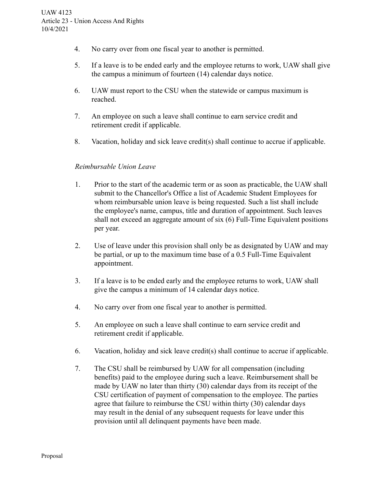- 4. No carry over from one fiscal year to another is permitted.
- 5. If a leave is to be ended early and the employee returns to work, UAW shall give the campus a minimum of fourteen (14) calendar days notice.
- 6. UAW must report to the CSU when the statewide or campus maximum is reached.
- 7. An employee on such a leave shall continue to earn service credit and retirement credit if applicable.
- 8. Vacation, holiday and sick leave credit(s) shall continue to accrue if applicable.

### *Reimbursable Union Leave*

- 1. Prior to the start of the academic term or as soon as practicable, the UAW shall submit to the Chancellor's Office a list of Academic Student Employees for whom reimbursable union leave is being requested. Such a list shall include the employee's name, campus, title and duration of appointment. Such leaves shall not exceed an aggregate amount of six (6) Full-Time Equivalent positions per year.
- 2. Use of leave under this provision shall only be as designated by UAW and may be partial, or up to the maximum time base of a 0.5 Full-Time Equivalent appointment.
- 3. If a leave is to be ended early and the employee returns to work, UAW shall give the campus a minimum of 14 calendar days notice.
- 4. No carry over from one fiscal year to another is permitted.
- 5. An employee on such a leave shall continue to earn service credit and retirement credit if applicable.
- 6. Vacation, holiday and sick leave credit(s) shall continue to accrue if applicable.
- 7. The CSU shall be reimbursed by UAW for all compensation (including benefits) paid to the employee during such a leave. Reimbursement shall be made by UAW no later than thirty (30) calendar days from its receipt of the CSU certification of payment of compensation to the employee. The parties agree that failure to reimburse the CSU within thirty (30) calendar days may result in the denial of any subsequent requests for leave under this provision until all delinquent payments have been made.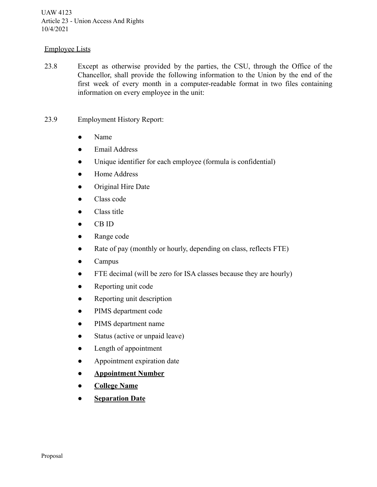### Employee Lists

- 23.8 Except as otherwise provided by the parties, the CSU, through the Office of the Chancellor, shall provide the following information to the Union by the end of the first week of every month in a computer-readable format in two files containing information on every employee in the unit:
- 23.9 Employment History Report:
	- Name
	- Email Address
	- Unique identifier for each employee (formula is confidential)
	- Home Address
	- Original Hire Date
	- Class code
	- Class title
	- CB ID
	- Range code
	- Rate of pay (monthly or hourly, depending on class, reflects FTE)
	- Campus
	- FTE decimal (will be zero for ISA classes because they are hourly)
	- Reporting unit code
	- Reporting unit description
	- PIMS department code
	- PIMS department name
	- Status (active or unpaid leave)
	- Length of appointment
	- Appointment expiration date
	- **● Appointment Number**
	- **● College Name**
	- **<u>Separation Date</u>**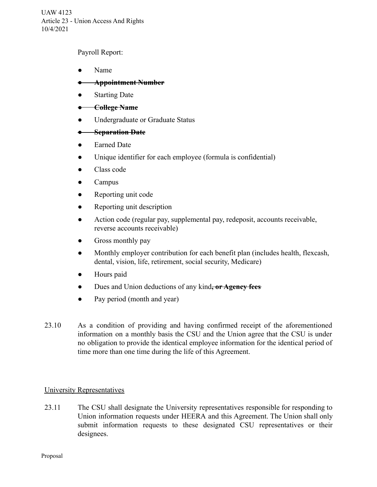Payroll Report:

● Name

## **● Appointment Number**

- Starting Date
- **College Name**
- Undergraduate or Graduate Status

### **● Separation Date**

- **Earned Date**
- Unique identifier for each employee (formula is confidential)
- Class code
- Campus
- Reporting unit code
- Reporting unit description
- Action code (regular pay, supplemental pay, redeposit, accounts receivable, reverse accounts receivable)
- Gross monthly pay
- Monthly employer contribution for each benefit plan (includes health, flexcash, dental, vision, life, retirement, social security, Medicare)
- Hours paid
- Dues and Union deductions of any kind**, or Agency fees**
- Pay period (month and year)
- 23.10 As a condition of providing and having confirmed receipt of the aforementioned information on a monthly basis the CSU and the Union agree that the CSU is under no obligation to provide the identical employee information for the identical period of time more than one time during the life of this Agreement.

#### University Representatives

23.11 The CSU shall designate the University representatives responsible for responding to Union information requests under HEERA and this Agreement. The Union shall only submit information requests to these designated CSU representatives or their designees.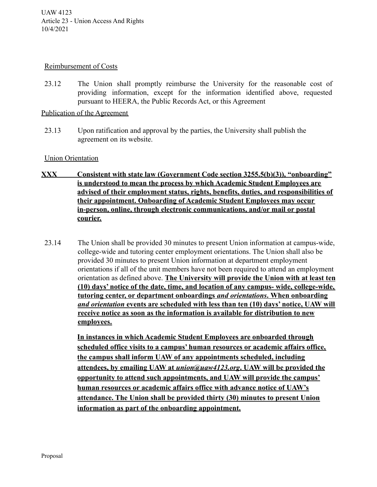#### Reimbursement of Costs

23.12 The Union shall promptly reimburse the University for the reasonable cost of providing information, except for the information identified above, requested pursuant to HEERA, the Public Records Act, or this Agreement

### Publication of the Agreement

23.13 Upon ratification and approval by the parties, the University shall publish the agreement on its website.

#### Union Orientation

- **XXX Consistent with state law (Government Code section 3255.5(b)(3)), "onboarding" is understood to mean the process by which Academic Student Employees are advised of their employment status, rights, benefits, duties, and responsibilities of their appointment. Onboarding of Academic Student Employees may occur in-person, online, through electronic communications, and/or mail or postal courier.**
- 23.14 The Union shall be provided 30 minutes to present Union information at campus-wide, college-wide and tutoring center employment orientations. The Union shall also be provided 30 minutes to present Union information at department employment orientations if all of the unit members have not been required to attend an employment orientation as defined above. **The University will provide the Union with at least ten (10) days' notice of the date, time, and location of any campus- wide, college-wide, tutoring center, or department onboardings** *and orientations***. When onboarding** *and orientation* **events are scheduled with less than ten (10) days' notice, UAW will receive notice as soon as the information is available for distribution to new employees.**

**In instances in which Academic Student Employees are onboarded through scheduled office visits to a campus' human resources or academic affairs office, the campus shall inform UAW of any appointments scheduled, including attendees, by emailing UAW at** *union@uaw4123.org***. UAW will be provided the opportunity to attend such appointments, and UAW will provide the campus' human resources or academic affairs office with advance notice of UAW's attendance. The Union shall be provided thirty (30) minutes to present Union information as part of the onboarding appointment.**